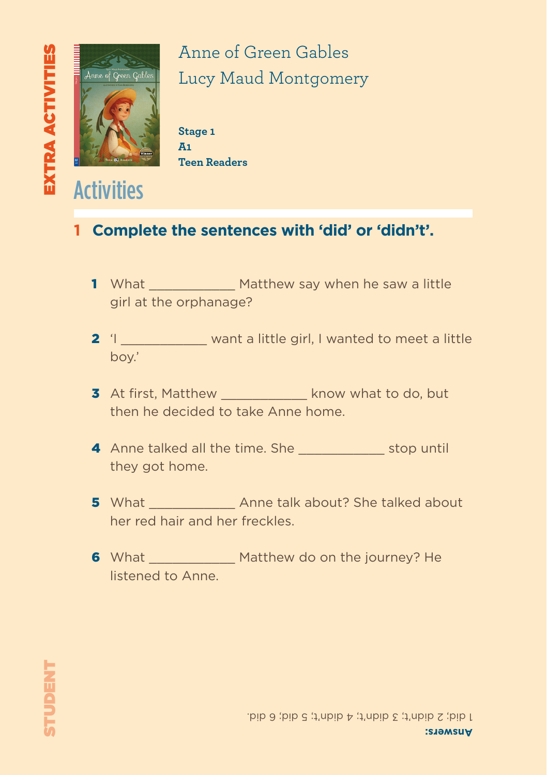

**Activities** 

## Anne of Green Gables Lucy Maud Montgomery

**Stage 1 A1 Teen Readers**

#### **1 Complete the sentences with 'did' or 'didn't'.**

- 1 What Matthew say when he saw a little girl at the orphanage?
- 2 'I \_\_\_\_\_\_\_\_\_\_\_\_ want a little girl, I wanted to meet a little boy.'
- 3 At first, Matthew \_\_\_\_\_\_\_\_\_\_\_ know what to do, but then he decided to take Anne home.
- 4 Anne talked all the time. She stop until they got home.
- 5 What \_\_\_\_\_\_\_\_\_\_\_\_\_\_ Anne talk about? She talked about her red hair and her freckles.
- 6 What Matthew do on the journey? He listened to Anne.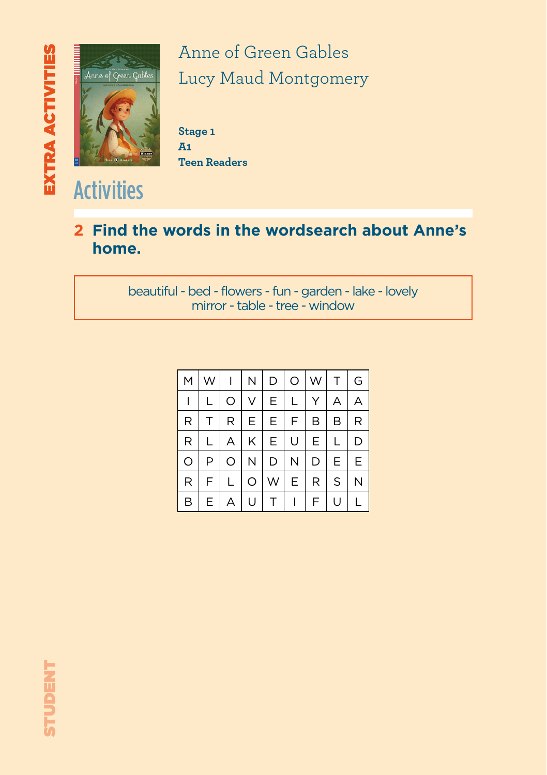

Anne of Green Gables Lucy Maud Montgomery

**Stage 1 A1 Teen Readers**

#### **2 Find the words in the wordsearch about Anne's home.**

beautiful - bed - flowers - fun - garden - lake - lovely mirror - table - tree - window

| M | W  | $\mathbf{I}$ | N  | $\mathsf D$ | $\circ$      | W  | $\top$ | ${\mathsf G}$ |
|---|----|--------------|----|-------------|--------------|----|--------|---------------|
|   |    | O            | V  | Ε           | L            |    | А      | А             |
| R |    | R.           | Е. | Е           | F.           | В  | В      | R             |
| R |    | A            | κI | E.          | U            | E. |        | D             |
| O | P  | O            | N  | D           | N            | D  | E      | Е             |
| R | F  |              | O  | W           | E            | R  | S      |               |
| B | E. | А            | U  | T           | $\mathbf{L}$ | F  | U      |               |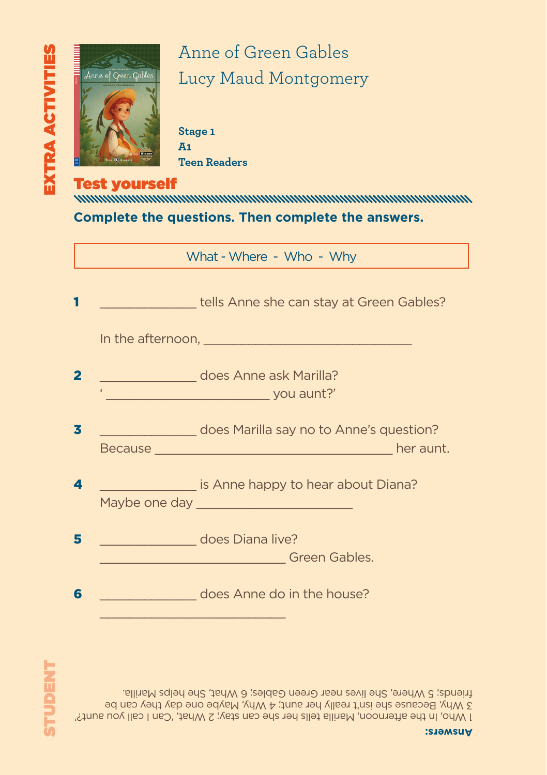

# Anne of Green Gables Lucy Maud Montgomery

**Stage 1 A1 Teen Readers**

Test yourself **Complete the questions. Then complete the answers.**

What - Where - Who - Why

|                         | tells Anne she can stay at Green Gables?             |
|-------------------------|------------------------------------------------------|
|                         |                                                      |
| $\overline{\mathbf{2}}$ | does Anne ask Marilla?<br>vou aunt?'                 |
| 3                       | does Marilla say no to Anne's question?<br>her aunt. |
| $\blacktriangle$        | is Anne happy to hear about Diana?                   |
| 5                       | does Diana live?<br>Green Gables.                    |
| 6                       | <b>Example 20 does Anne do in the house?</b>         |
|                         |                                                      |

1 Who, In the afternoon, Marilla tells her she can stay; 2 What, 'Can I call you aunt?' 3 Why, Because she isn't really her aunt; 4 Why, Maybe one day they can be friends; 5 Where, She lives near Green Gables; 6 What, She helps Marilla.

**Answers:**